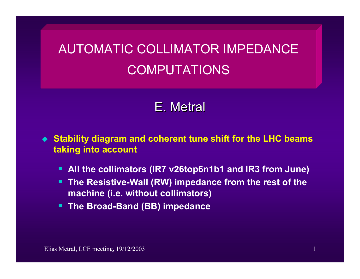## AUTOMATIC COLLIMATOR IMPEDANCE COMPUTATIONS

## E. Metral

 **Stability diagram and coherent tune shift for the LHC beams taking into account**

- п **All the collimators (IR7 v26top6n1b1 and IR3 from June)**
- п **The Resistive-Wall (RW) impedance from the rest of the machine (i.e. without collimators)**
- **The Broad-Band (BB) impedance**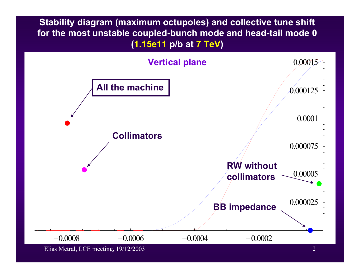**Stability diagram (maximum octupoles) and collective tune shift for the most unstable coupled-bunch mode and head-tail mode 0 (1.15e11 p/b at 7 TeV)** 

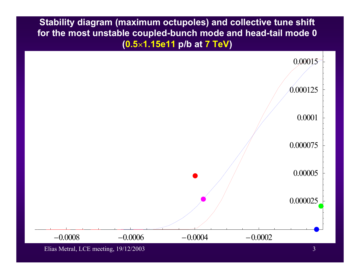**Stability diagram (maximum octupoles) and collective tune shift for the most unstable coupled-bunch mode and head-tail mode 0 (0.5**×**1.15e11 p/b at 7 TeV)** 



Elias Metral, LCE meeting, 19/12/2003 3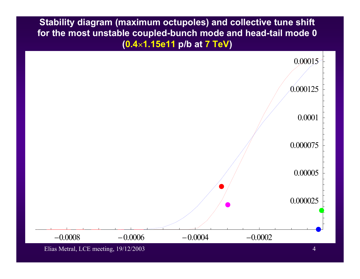**Stability diagram (maximum octupoles) and collective tune shift for the most unstable coupled-bunch mode and head-tail mode 0 (0.4**×**1.15e11 p/b at 7 TeV)** 

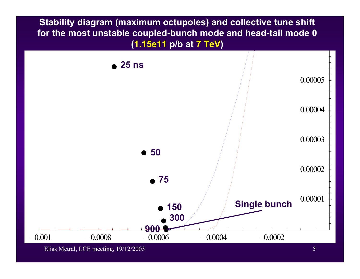**Stability diagram (maximum octupoles) and collective tune shift for the most unstable coupled-bunch mode and head-tail mode 0 (1.15e11 p/b at 7 TeV)** 



Elias Metral, LCE meeting, 19/12/2003 5